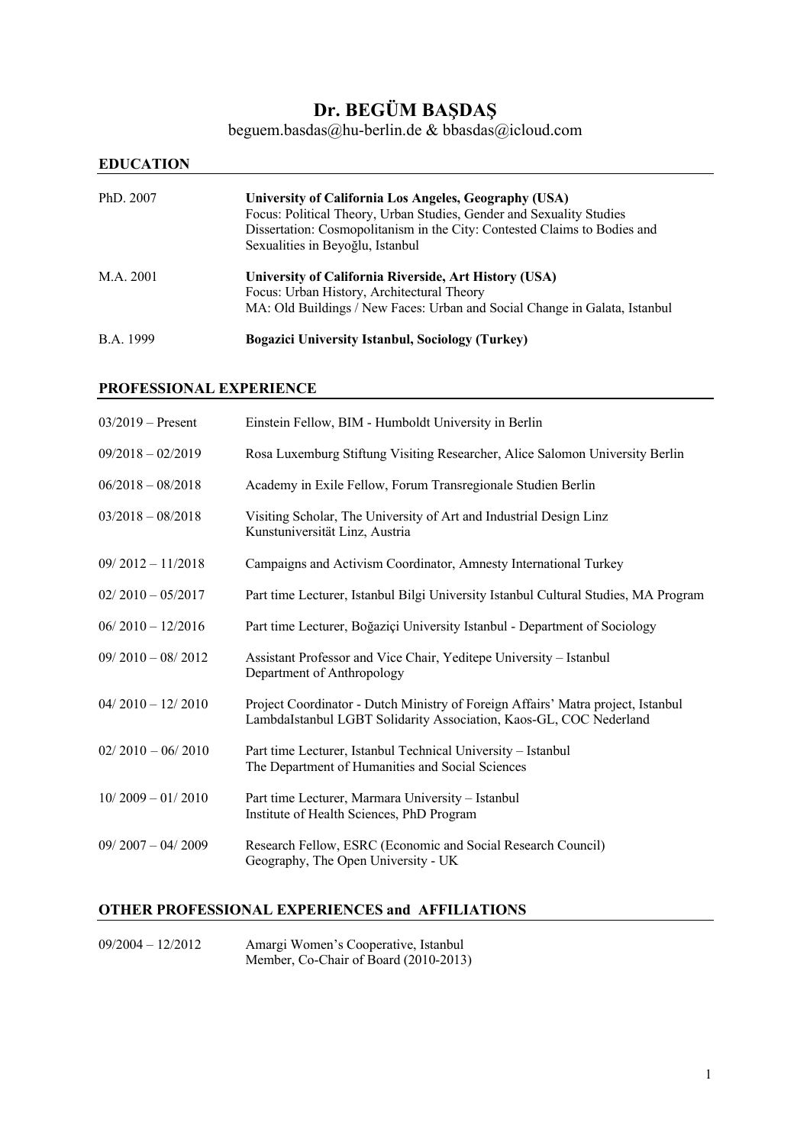# **Dr. BEGÜM BAŞDAŞ**

beguem.basdas@hu-berlin.de & bbasdas@icloud.com

# **EDUCATION**

| PhD. 2007 | University of California Los Angeles, Geography (USA)<br>Focus: Political Theory, Urban Studies, Gender and Sexuality Studies<br>Dissertation: Cosmopolitanism in the City: Contested Claims to Bodies and<br>Sexualities in Beyoğlu, Istanbul |
|-----------|------------------------------------------------------------------------------------------------------------------------------------------------------------------------------------------------------------------------------------------------|
| M.A. 2001 | University of California Riverside, Art History (USA)<br>Focus: Urban History, Architectural Theory<br>MA: Old Buildings / New Faces: Urban and Social Change in Galata, Istanbul                                                              |
| B.A. 1999 | <b>Bogazici University Istanbul, Sociology (Turkey)</b>                                                                                                                                                                                        |

## **PROFESSIONAL EXPERIENCE**

| $03/2019$ – Present | Einstein Fellow, BIM - Humboldt University in Berlin                                                                                                   |
|---------------------|--------------------------------------------------------------------------------------------------------------------------------------------------------|
| $09/2018 - 02/2019$ | Rosa Luxemburg Stiftung Visiting Researcher, Alice Salomon University Berlin                                                                           |
| $06/2018 - 08/2018$ | Academy in Exile Fellow, Forum Transregionale Studien Berlin                                                                                           |
| $03/2018 - 08/2018$ | Visiting Scholar, The University of Art and Industrial Design Linz<br>Kunstuniversität Linz, Austria                                                   |
| $09/2012 - 11/2018$ | Campaigns and Activism Coordinator, Amnesty International Turkey                                                                                       |
| $02/2010 - 05/2017$ | Part time Lecturer, Istanbul Bilgi University Istanbul Cultural Studies, MA Program                                                                    |
| $06/2010 - 12/2016$ | Part time Lecturer, Boğaziçi University Istanbul - Department of Sociology                                                                             |
| $09/2010 - 08/2012$ | Assistant Professor and Vice Chair, Yeditepe University - Istanbul<br>Department of Anthropology                                                       |
| $04/2010 - 12/2010$ | Project Coordinator - Dutch Ministry of Foreign Affairs' Matra project, Istanbul<br>LambdaIstanbul LGBT Solidarity Association, Kaos-GL, COC Nederland |
| $02/2010 - 06/2010$ | Part time Lecturer, Istanbul Technical University - Istanbul<br>The Department of Humanities and Social Sciences                                       |
| $10/2009 - 01/2010$ | Part time Lecturer, Marmara University - Istanbul<br>Institute of Health Sciences, PhD Program                                                         |
| $09/2007 - 04/2009$ | Research Fellow, ESRC (Economic and Social Research Council)<br>Geography, The Open University - UK                                                    |
|                     |                                                                                                                                                        |

## **OTHER PROFESSIONAL EXPERIENCES and AFFILIATIONS**

09/2004 – 12/2012 Amargi Women's Cooperative, Istanbul Member, Co-Chair of Board (2010-2013)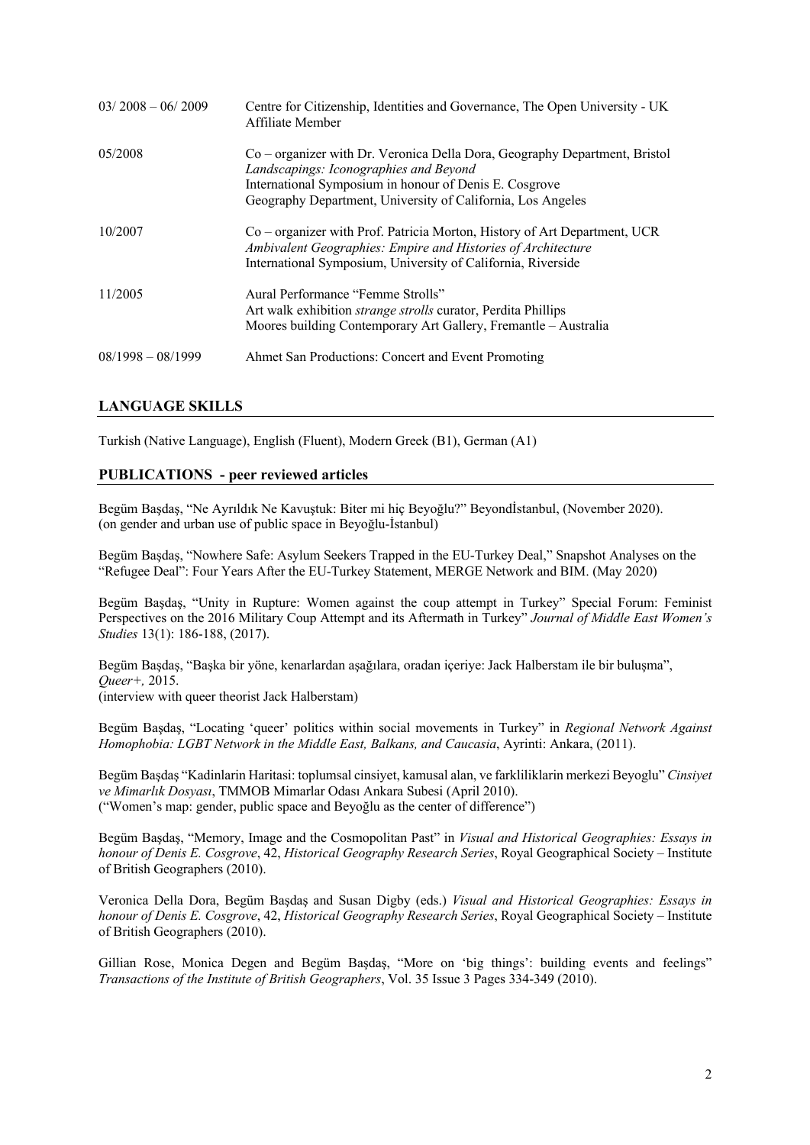| $03/2008 - 06/2009$ | Centre for Citizenship, Identities and Governance, The Open University - UK<br>Affiliate Member                                                                                                                                               |
|---------------------|-----------------------------------------------------------------------------------------------------------------------------------------------------------------------------------------------------------------------------------------------|
| 05/2008             | Co – organizer with Dr. Veronica Della Dora, Geography Department, Bristol<br>Landscapings: Iconographies and Beyond<br>International Symposium in honour of Denis E. Cosgrove<br>Geography Department, University of California, Los Angeles |
| 10/2007             | Co – organizer with Prof. Patricia Morton, History of Art Department, UCR<br>Ambivalent Geographies: Empire and Histories of Architecture<br>International Symposium, University of California, Riverside                                     |
| 11/2005             | Aural Performance "Femme Strolls"<br>Art walk exhibition <i>strange strolls</i> curator, Perdita Phillips<br>Moores building Contemporary Art Gallery, Fremantle - Australia                                                                  |
| $08/1998 - 08/1999$ | Ahmet San Productions: Concert and Event Promoting                                                                                                                                                                                            |

## **LANGUAGE SKILLS**

Turkish (Native Language), English (Fluent), Modern Greek (B1), German (A1)

#### **PUBLICATIONS - peer reviewed articles**

Begüm Başdaş, "Ne Ayrıldık Ne Kavuştuk: Biter mi hiç Beyoğlu?" Beyondİstanbul, (November 2020). (on gender and urban use of public space in Beyoğlu-İstanbul)

Begüm Başdaş, "Nowhere Safe: Asylum Seekers Trapped in the EU-Turkey Deal," Snapshot Analyses on the "Refugee Deal": Four Years After the EU-Turkey Statement, MERGE Network and BIM. (May 2020)

Begüm Başdaş, "Unity in Rupture: Women against the coup attempt in Turkey" Special Forum: Feminist Perspectives on the 2016 Military Coup Attempt and its Aftermath in Turkey" *Journal of Middle East Women's Studies* 13(1): 186-188, (2017).

Begüm Başdaş, "Başka bir yöne, kenarlardan aşağılara, oradan içeriye: Jack Halberstam ile bir buluşma", *Queer+,* 2015. (interview with queer theorist Jack Halberstam)

Begüm Başdaş, "Locating 'queer' politics within social movements in Turkey" in *Regional Network Against Homophobia: LGBT Network in the Middle East, Balkans, and Caucasia*, Ayrinti: Ankara, (2011).

Begüm Başdaş "Kadinlarin Haritasi: toplumsal cinsiyet, kamusal alan, ve farkliliklarin merkezi Beyoglu" *Cinsiyet ve Mimarlık Dosyası*, TMMOB Mimarlar Odası Ankara Subesi (April 2010). ("Women's map: gender, public space and Beyoğlu as the center of difference")

Begüm Başdaş, "Memory, Image and the Cosmopolitan Past" in *Visual and Historical Geographies: Essays in honour of Denis E. Cosgrove*, 42, *Historical Geography Research Series*, Royal Geographical Society – Institute of British Geographers (2010).

Veronica Della Dora, Begüm Başdaş and Susan Digby (eds.) *Visual and Historical Geographies: Essays in honour of Denis E. Cosgrove*, 42, *Historical Geography Research Series*, Royal Geographical Society – Institute of British Geographers (2010).

Gillian Rose, Monica Degen and Begüm Başdaş, "More on 'big things': building events and feelings" *Transactions of the Institute of British Geographers*, Vol. 35 Issue 3 Pages 334-349 (2010).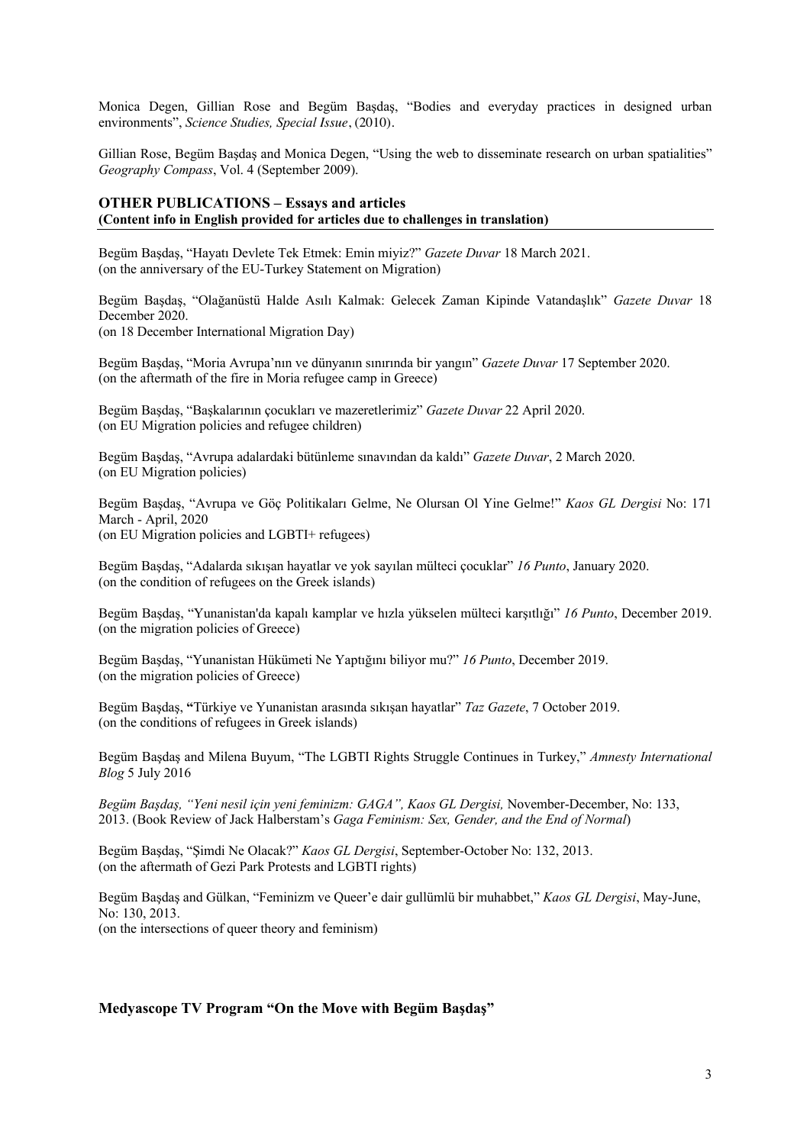Monica Degen, Gillian Rose and Begüm Başdaş, "Bodies and everyday practices in designed urban environments", *Science Studies, Special Issue*, (2010).

Gillian Rose, Begüm Başdaş and Monica Degen, "Using the web to disseminate research on urban spatialities" *Geography Compass*, Vol. 4 (September 2009).

#### **OTHER PUBLICATIONS – Essays and articles (Content info in English provided for articles due to challenges in translation)**

Begüm Başdaş, "Hayatı Devlete Tek Etmek: Emin miyiz?" *Gazete Duvar* 18 March 2021. (on the anniversary of the EU-Turkey Statement on Migration)

Begüm Başdaş, "Olağanüstü Halde Asılı Kalmak: Gelecek Zaman Kipinde Vatandaşlık" *Gazete Duvar* 18 December 2020.

(on 18 December International Migration Day)

Begüm Başdaş, "Moria Avrupa'nın ve dünyanın sınırında bir yangın" *Gazete Duvar* 17 September 2020. (on the aftermath of the fire in Moria refugee camp in Greece)

Begüm Başdaş, "Başkalarının çocukları ve mazeretlerimiz" *Gazete Duvar* 22 April 2020. (on EU Migration policies and refugee children)

Begüm Başdaş, "Avrupa adalardaki bütünleme sınavından da kaldı" *Gazete Duvar*, 2 March 2020. (on EU Migration policies)

Begüm Başdaş, "Avrupa ve Göç Politikaları Gelme, Ne Olursan Ol Yine Gelme!" *Kaos GL Dergisi* No: 171 March - April, 2020 (on EU Migration policies and LGBTI+ refugees)

Begüm Başdaş, "Adalarda sıkışan hayatlar ve yok sayılan mülteci çocuklar" *16 Punto*, January 2020. (on the condition of refugees on the Greek islands)

Begüm Başdaş, "Yunanistan'da kapalı kamplar ve hızla yükselen mülteci karşıtlığı" *16 Punto*, December 2019. (on the migration policies of Greece)

Begüm Başdaş, "Yunanistan Hükümeti Ne Yaptığını biliyor mu?" *16 Punto*, December 2019. (on the migration policies of Greece)

Begüm Başdaş, **"**Türkiye ve Yunanistan arasında sıkışan hayatlar" *Taz Gazete*, 7 October 2019. (on the conditions of refugees in Greek islands)

Begüm Başdaş and Milena Buyum, "The LGBTI Rights Struggle Continues in Turkey," *Amnesty International Blog* 5 July 2016

*Begüm Başdaş, "Yeni nesil için yeni feminizm: GAGA", Kaos GL Dergisi,* November-December, No: 133, 2013. (Book Review of Jack Halberstam's *Gaga Feminism: Sex, Gender, and the End of Normal*)

Begüm Başdaş, "Şimdi Ne Olacak?" *Kaos GL Dergisi*, September-October No: 132, 2013. (on the aftermath of Gezi Park Protests and LGBTI rights)

Begüm Başdaş and Gülkan, "Feminizm ve Queer'e dair gullümlü bir muhabbet," *Kaos GL Dergisi*, May-June, No: 130, 2013. (on the intersections of queer theory and feminism)

#### **Medyascope TV Program "On the Move with Begüm Başdaş"**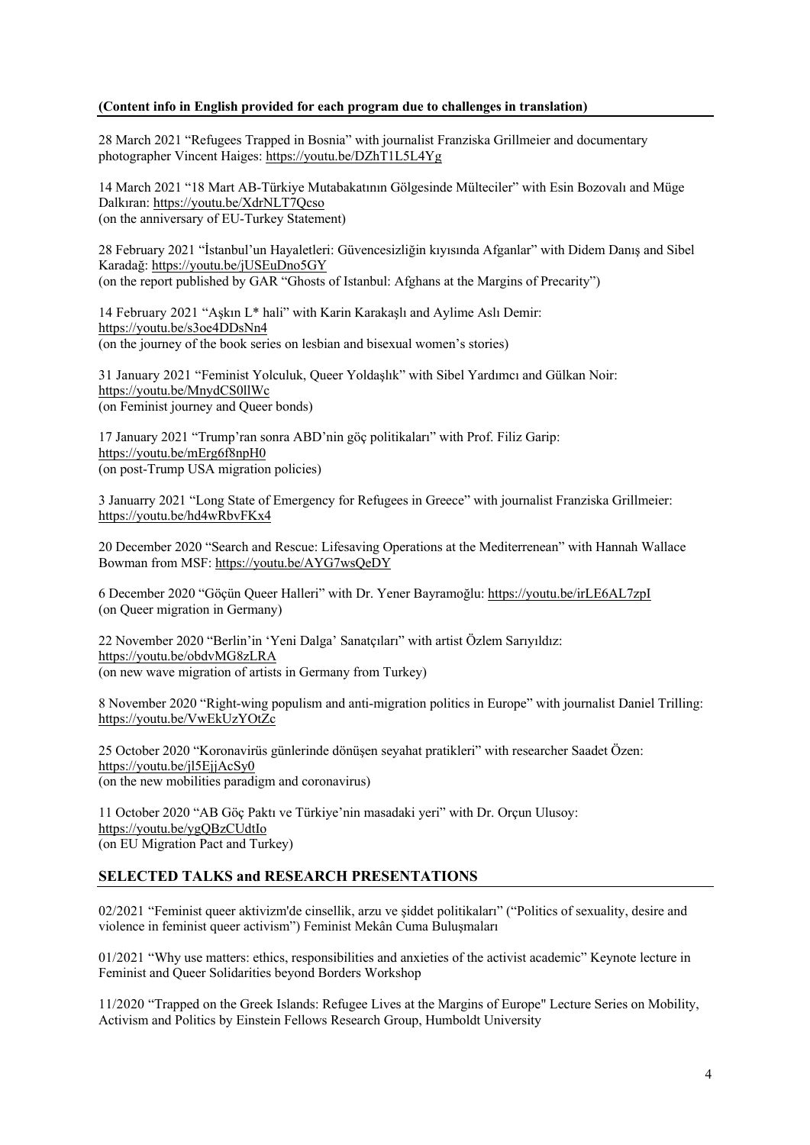#### **(Content info in English provided for each program due to challenges in translation)**

28 March 2021 "Refugees Trapped in Bosnia" with journalist Franziska Grillmeier and documentary photographer Vincent Haiges: https://youtu.be/DZhT1L5L4Yg

14 March 2021 "18 Mart AB-Türkiye Mutabakatının Gölgesinde Mülteciler" with Esin Bozovalı and Müge Dalkıran: https://youtu.be/XdrNLT7Qcso (on the anniversary of EU-Turkey Statement)

28 February 2021 "İstanbul'un Hayaletleri: Güvencesizliğin kıyısında Afganlar" with Didem Danış and Sibel Karadağ: https://youtu.be/jUSEuDno5GY (on the report published by GAR "Ghosts of Istanbul: Afghans at the Margins of Precarity")

14 February 2021 "Aşkın L\* hali" with Karin Karakaşlı and Aylime Aslı Demir: https://youtu.be/s3oe4DDsNn4 (on the journey of the book series on lesbian and bisexual women's stories)

31 January 2021 "Feminist Yolculuk, Queer Yoldaşlık" with Sibel Yardımcı and Gülkan Noir: https://youtu.be/MnydCS0llWc (on Feminist journey and Queer bonds)

17 January 2021 "Trump'ran sonra ABD'nin göç politikaları" with Prof. Filiz Garip: https://youtu.be/mErg6f8npH0 (on post-Trump USA migration policies)

3 Januarry 2021 "Long State of Emergency for Refugees in Greece" with journalist Franziska Grillmeier: https://youtu.be/hd4wRbvFKx4

20 December 2020 "Search and Rescue: Lifesaving Operations at the Mediterrenean" with Hannah Wallace Bowman from MSF: https://youtu.be/AYG7wsQeDY

6 December 2020 "Göçün Queer Halleri" with Dr. Yener Bayramoğlu: https://youtu.be/irLE6AL7zpI (on Queer migration in Germany)

22 November 2020 "Berlin'in 'Yeni Dalga' Sanatçıları" with artist Özlem Sarıyıldız: https://youtu.be/obdvMG8zLRA (on new wave migration of artists in Germany from Turkey)

8 November 2020 "Right-wing populism and anti-migration politics in Europe" with journalist Daniel Trilling: https://youtu.be/VwEkUzYOtZc

25 October 2020 "Koronavirüs günlerinde dönüşen seyahat pratikleri" with researcher Saadet Özen: https://youtu.be/jl5EjjAcSy0 (on the new mobilities paradigm and coronavirus)

11 October 2020 "AB Göç Paktı ve Türkiye'nin masadaki yeri" with Dr. Orçun Ulusoy: https://youtu.be/ygQBzCUdtIo (on EU Migration Pact and Turkey)

#### **SELECTED TALKS and RESEARCH PRESENTATIONS**

02/2021 "Feminist queer aktivizm'de cinsellik, arzu ve şiddet politikaları" ("Politics of sexuality, desire and violence in feminist queer activism") Feminist Mekân Cuma Buluşmaları

01/2021 "Why use matters: ethics, responsibilities and anxieties of the activist academic" Keynote lecture in Feminist and Queer Solidarities beyond Borders Workshop

11/2020 "Trapped on the Greek Islands: Refugee Lives at the Margins of Europe" Lecture Series on Mobility, Activism and Politics by Einstein Fellows Research Group, Humboldt University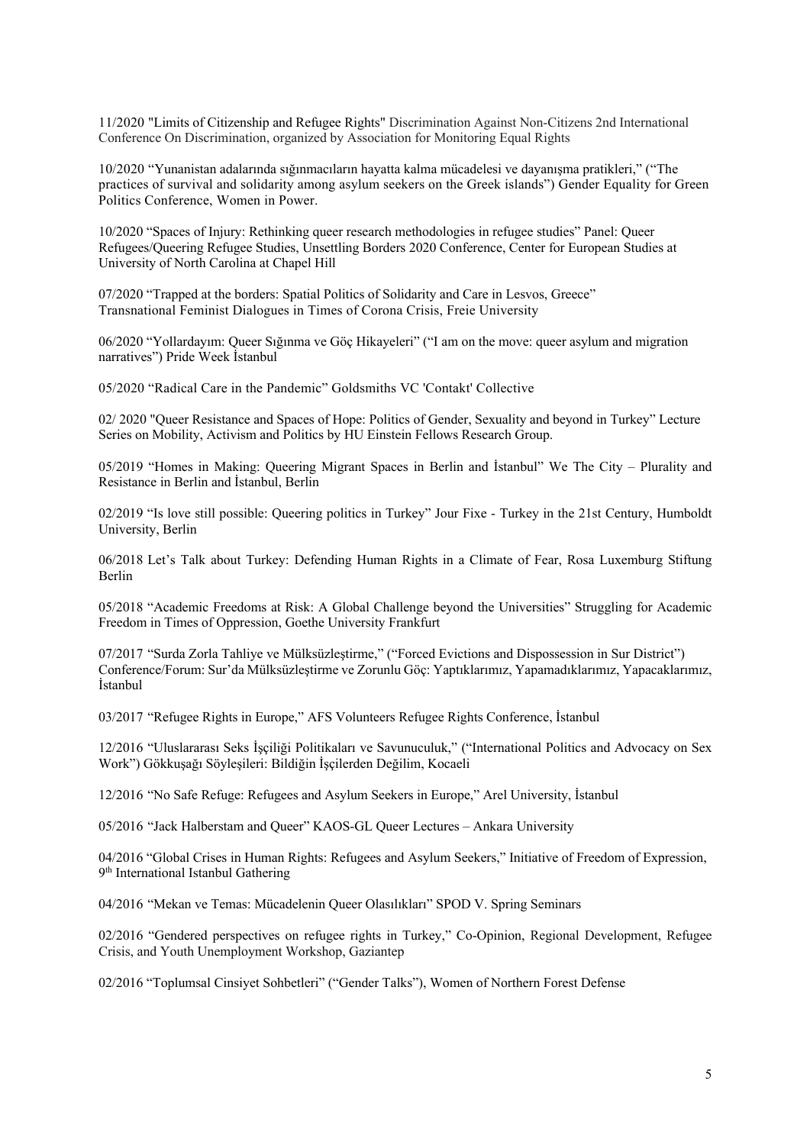11/2020 "Limits of Citizenship and Refugee Rights" Discrimination Against Non-Citizens 2nd International Conference On Discrimination, organized by Association for Monitoring Equal Rights

10/2020 "Yunanistan adalarında sığınmacıların hayatta kalma mücadelesi ve dayanışma pratikleri," ("The practices of survival and solidarity among asylum seekers on the Greek islands") Gender Equality for Green Politics Conference, Women in Power.

10/2020 "Spaces of Injury: Rethinking queer research methodologies in refugee studies" Panel: Queer Refugees/Queering Refugee Studies, Unsettling Borders 2020 Conference, Center for European Studies at University of North Carolina at Chapel Hill

07/2020 "Trapped at the borders: Spatial Politics of Solidarity and Care in Lesvos, Greece" Transnational Feminist Dialogues in Times of Corona Crisis, Freie University

06/2020 "Yollardayım: Queer Sığınma ve Göç Hikayeleri" ("I am on the move: queer asylum and migration narratives") Pride Week İstanbul

05/2020 "Radical Care in the Pandemic" Goldsmiths VC 'Contakt' Collective

02/ 2020 "Queer Resistance and Spaces of Hope: Politics of Gender, Sexuality and beyond in Turkey" Lecture Series on Mobility, Activism and Politics by HU Einstein Fellows Research Group.

05/2019 "Homes in Making: Queering Migrant Spaces in Berlin and İstanbul" We The City – Plurality and Resistance in Berlin and İstanbul, Berlin

02/2019 "Is love still possible: Queering politics in Turkey" Jour Fixe - Turkey in the 21st Century, Humboldt University, Berlin

06/2018 Let's Talk about Turkey: Defending Human Rights in a Climate of Fear, Rosa Luxemburg Stiftung Berlin

05/2018 "Academic Freedoms at Risk: A Global Challenge beyond the Universities" Struggling for Academic Freedom in Times of Oppression, Goethe University Frankfurt

07/2017 "Surda Zorla Tahliye ve Mülksüzleştirme," ("Forced Evictions and Dispossession in Sur District") Conference/Forum: Sur'da Mülksüzleştirme ve Zorunlu Göç: Yaptıklarımız, Yapamadıklarımız, Yapacaklarımız, İstanbul

03/2017 "Refugee Rights in Europe," AFS Volunteers Refugee Rights Conference, İstanbul

12/2016 "Uluslararası Seks İşçiliği Politikaları ve Savunuculuk," ("International Politics and Advocacy on Sex Work") Gökkuşağı Söyleşileri: Bildiğin İşçilerden Değilim, Kocaeli

12/2016 "No Safe Refuge: Refugees and Asylum Seekers in Europe," Arel University, İstanbul

05/2016 "Jack Halberstam and Queer" KAOS-GL Queer Lectures – Ankara University

04/2016 "Global Crises in Human Rights: Refugees and Asylum Seekers," Initiative of Freedom of Expression, 9<sup>th</sup> International Istanbul Gathering

04/2016 "Mekan ve Temas: Mücadelenin Queer Olasılıkları" SPOD V. Spring Seminars

02/2016 "Gendered perspectives on refugee rights in Turkey," Co-Opinion, Regional Development, Refugee Crisis, and Youth Unemployment Workshop, Gaziantep

02/2016 "Toplumsal Cinsiyet Sohbetleri" ("Gender Talks"), Women of Northern Forest Defense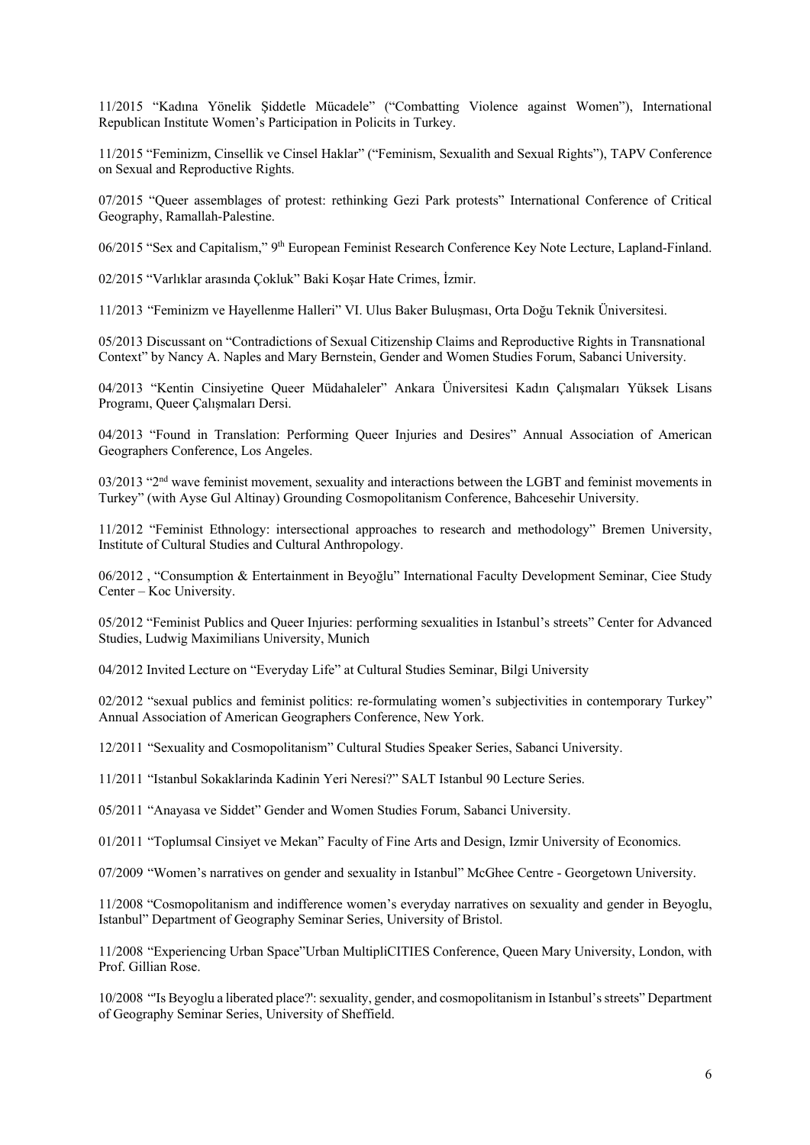11/2015 "Kadına Yönelik Şiddetle Mücadele" ("Combatting Violence against Women"), International Republican Institute Women's Participation in Policits in Turkey.

11/2015 "Feminizm, Cinsellik ve Cinsel Haklar" ("Feminism, Sexualith and Sexual Rights"), TAPV Conference on Sexual and Reproductive Rights.

07/2015 "Queer assemblages of protest: rethinking Gezi Park protests" International Conference of Critical Geography, Ramallah-Palestine.

06/2015 "Sex and Capitalism," 9th European Feminist Research Conference Key Note Lecture, Lapland-Finland.

02/2015 "Varlıklar arasında Çokluk" Baki Koşar Hate Crimes, İzmir.

11/2013 "Feminizm ve Hayellenme Halleri" VI. Ulus Baker Buluşması, Orta Doğu Teknik Üniversitesi.

05/2013 Discussant on "Contradictions of Sexual Citizenship Claims and Reproductive Rights in Transnational Context" by Nancy A. Naples and Mary Bernstein, Gender and Women Studies Forum, Sabanci University.

04/2013 "Kentin Cinsiyetine Queer Müdahaleler" Ankara Üniversitesi Kadın Çalışmaları Yüksek Lisans Programı, Queer Çalışmaları Dersi.

04/2013 "Found in Translation: Performing Queer Injuries and Desires" Annual Association of American Geographers Conference, Los Angeles.

 $03/2013$  "2<sup>nd</sup> wave feminist movement, sexuality and interactions between the LGBT and feminist movements in Turkey" (with Ayse Gul Altinay) Grounding Cosmopolitanism Conference, Bahcesehir University.

11/2012 "Feminist Ethnology: intersectional approaches to research and methodology" Bremen University, Institute of Cultural Studies and Cultural Anthropology.

06/2012 , "Consumption & Entertainment in Beyoğlu" International Faculty Development Seminar, Ciee Study Center – Koc University.

05/2012 "Feminist Publics and Queer Injuries: performing sexualities in Istanbul's streets" Center for Advanced Studies, Ludwig Maximilians University, Munich

04/2012 Invited Lecture on "Everyday Life" at Cultural Studies Seminar, Bilgi University

02/2012 "sexual publics and feminist politics: re-formulating women's subjectivities in contemporary Turkey" Annual Association of American Geographers Conference, New York.

12/2011 "Sexuality and Cosmopolitanism" Cultural Studies Speaker Series, Sabanci University.

11/2011 "Istanbul Sokaklarinda Kadinin Yeri Neresi?" SALT Istanbul 90 Lecture Series.

05/2011 "Anayasa ve Siddet" Gender and Women Studies Forum, Sabanci University.

01/2011 "Toplumsal Cinsiyet ve Mekan" Faculty of Fine Arts and Design, Izmir University of Economics.

07/2009 "Women's narratives on gender and sexuality in Istanbul" McGhee Centre - Georgetown University.

11/2008 "Cosmopolitanism and indifference women's everyday narratives on sexuality and gender in Beyoglu, Istanbul" Department of Geography Seminar Series, University of Bristol.

11/2008 "Experiencing Urban Space"Urban MultipliCITIES Conference, Queen Mary University, London, with Prof. Gillian Rose.

10/2008 "'Is Beyoglu a liberated place?': sexuality, gender, and cosmopolitanism in Istanbul's streets" Department of Geography Seminar Series, University of Sheffield.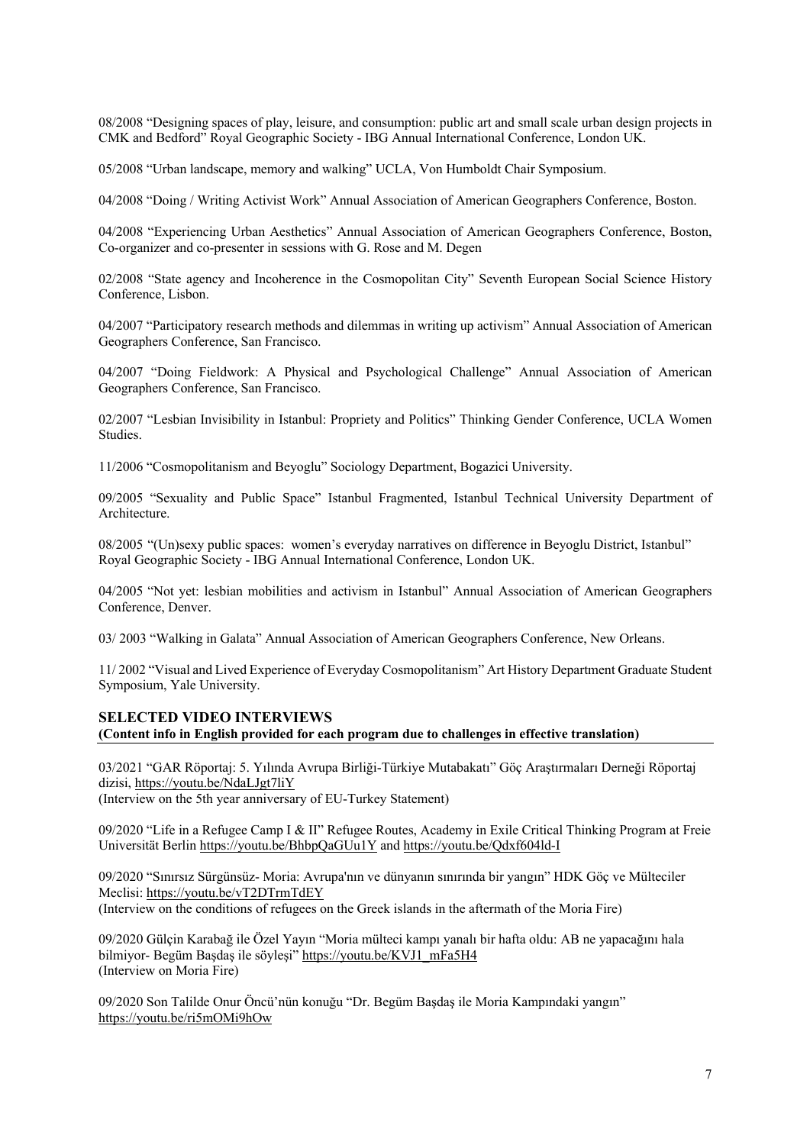08/2008 "Designing spaces of play, leisure, and consumption: public art and small scale urban design projects in CMK and Bedford" Royal Geographic Society - IBG Annual International Conference, London UK.

05/2008 "Urban landscape, memory and walking" UCLA, Von Humboldt Chair Symposium.

04/2008 "Doing / Writing Activist Work" Annual Association of American Geographers Conference, Boston.

04/2008 "Experiencing Urban Aesthetics" Annual Association of American Geographers Conference, Boston, Co-organizer and co-presenter in sessions with G. Rose and M. Degen

02/2008 "State agency and Incoherence in the Cosmopolitan City" Seventh European Social Science History Conference, Lisbon.

04/2007 "Participatory research methods and dilemmas in writing up activism" Annual Association of American Geographers Conference, San Francisco.

04/2007 "Doing Fieldwork: A Physical and Psychological Challenge" Annual Association of American Geographers Conference, San Francisco.

02/2007 "Lesbian Invisibility in Istanbul: Propriety and Politics" Thinking Gender Conference, UCLA Women Studies.

11/2006 "Cosmopolitanism and Beyoglu" Sociology Department, Bogazici University.

09/2005 "Sexuality and Public Space" Istanbul Fragmented, Istanbul Technical University Department of Architecture.

08/2005 "(Un)sexy public spaces: women's everyday narratives on difference in Beyoglu District, Istanbul" Royal Geographic Society - IBG Annual International Conference, London UK.

04/2005 "Not yet: lesbian mobilities and activism in Istanbul" Annual Association of American Geographers Conference, Denver.

03/ 2003 "Walking in Galata" Annual Association of American Geographers Conference, New Orleans.

11/ 2002 "Visual and Lived Experience of Everyday Cosmopolitanism" Art History Department Graduate Student Symposium, Yale University.

#### **SELECTED VIDEO INTERVIEWS**

**(Content info in English provided for each program due to challenges in effective translation)**

03/2021 "GAR Röportaj: 5. Yılında Avrupa Birliği-Türkiye Mutabakatı" Göç Araştırmaları Derneği Röportaj dizisi, https://youtu.be/NdaLJgt7liY (Interview on the 5th year anniversary of EU-Turkey Statement)

09/2020 "Life in a Refugee Camp I & II" Refugee Routes, Academy in Exile Critical Thinking Program at Freie Universität Berlin https://youtu.be/BhbpQaGUu1Y and https://youtu.be/Qdxf604ld-I

09/2020 "Sınırsız Sürgünsüz- Moria: Avrupa'nın ve dünyanın sınırında bir yangın" HDK Göç ve Mülteciler Meclisi: https://youtu.be/vT2DTrmTdEY (Interview on the conditions of refugees on the Greek islands in the aftermath of the Moria Fire)

09/2020 Gülçin Karabağ ile Özel Yayın "Moria mülteci kampı yanalı bir hafta oldu: AB ne yapacağını hala bilmiyor- Begüm Başdaş ile söyleşi" https://youtu.be/KVJ1\_mFa5H4 (Interview on Moria Fire)

09/2020 Son Talilde Onur Öncü'nün konuğu "Dr. Begüm Başdaş ile Moria Kampındaki yangın" https://youtu.be/ri5mOMi9hOw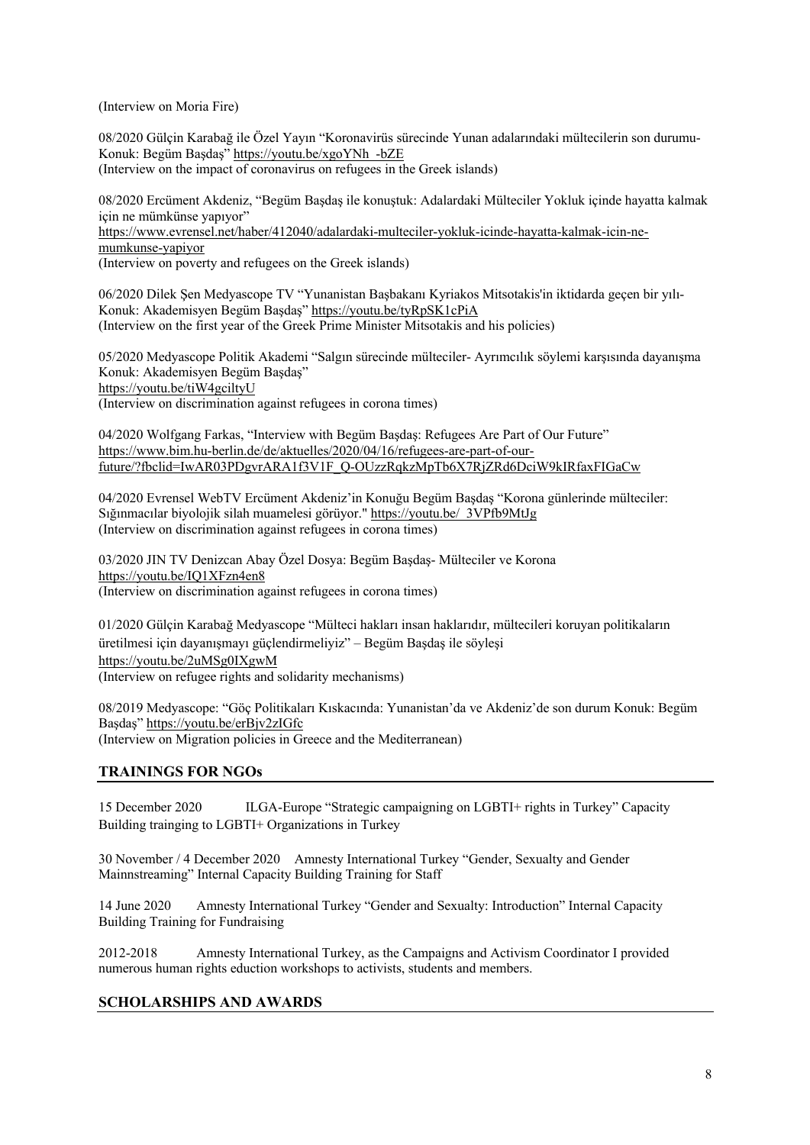(Interview on Moria Fire)

08/2020 Gülçin Karabağ ile Özel Yayın "Koronavirüs sürecinde Yunan adalarındaki mültecilerin son durumu-Konuk: Begüm Başdaş" https://youtu.be/xgoYNh\_-bZE (Interview on the impact of coronavirus on refugees in the Greek islands)

08/2020 Ercüment Akdeniz, "Begüm Başdaş ile konuştuk: Adalardaki Mülteciler Yokluk içinde hayatta kalmak için ne mümkünse yapıyor"

https://www.evrensel.net/haber/412040/adalardaki-multeciler-yokluk-icinde-hayatta-kalmak-icin-nemumkunse-yapiyor

(Interview on poverty and refugees on the Greek islands)

06/2020 Dilek Şen Medyascope TV "Yunanistan Başbakanı Kyriakos Mitsotakis'in iktidarda geçen bir yılı-Konuk: Akademisyen Begüm Başdaş" https://youtu.be/tyRpSK1cPiA (Interview on the first year of the Greek Prime Minister Mitsotakis and his policies)

05/2020 Medyascope Politik Akademi "Salgın sürecinde mülteciler- Ayrımcılık söylemi karşısında dayanışma Konuk: Akademisyen Begüm Başdaş" https://youtu.be/tiW4gciltyU (Interview on discrimination against refugees in corona times)

04/2020 Wolfgang Farkas, "Interview with Begüm Başdaş: Refugees Are Part of Our Future" https://www.bim.hu-berlin.de/de/aktuelles/2020/04/16/refugees-are-part-of-ourfuture/?fbclid=IwAR03PDgvrARA1f3V1F\_Q-OUzzRqkzMpTb6X7RjZRd6DciW9kIRfaxFIGaCw

04/2020 Evrensel WebTV Ercüment Akdeniz'in Konuğu Begüm Başdaş "Korona günlerinde mülteciler: Sığınmacılar biyolojik silah muamelesi görüyor." https://youtu.be/\_3VPfb9MtJg (Interview on discrimination against refugees in corona times)

03/2020 JIN TV Denizcan Abay Özel Dosya: Begüm Başdaş- Mülteciler ve Korona https://youtu.be/IQ1XFzn4en8 (Interview on discrimination against refugees in corona times)

01/2020 Gülçin Karabağ Medyascope "Mülteci hakları insan haklarıdır, mültecileri koruyan politikaların üretilmesi için dayanışmayı güçlendirmeliyiz" – Begüm Başdaş ile söyleşi https://youtu.be/2uMSg0IXgwM (Interview on refugee rights and solidarity mechanisms)

08/2019 Medyascope: "Göç Politikaları Kıskacında: Yunanistan'da ve Akdeniz'de son durum Konuk: Begüm Başdaş" https://youtu.be/erBjv2zIGfc (Interview on Migration policies in Greece and the Mediterranean)

# **TRAININGS FOR NGOs**

15 December 2020 ILGA-Europe "Strategic campaigning on LGBTI+ rights in Turkey" Capacity Building trainging to LGBTI+ Organizations in Turkey

30 November / 4 December 2020 Amnesty International Turkey "Gender, Sexualty and Gender Mainnstreaming" Internal Capacity Building Training for Staff

14 June 2020 Amnesty International Turkey "Gender and Sexualty: Introduction" Internal Capacity Building Training for Fundraising

2012-2018 Amnesty International Turkey, as the Campaigns and Activism Coordinator I provided numerous human rights eduction workshops to activists, students and members.

#### **SCHOLARSHIPS AND AWARDS**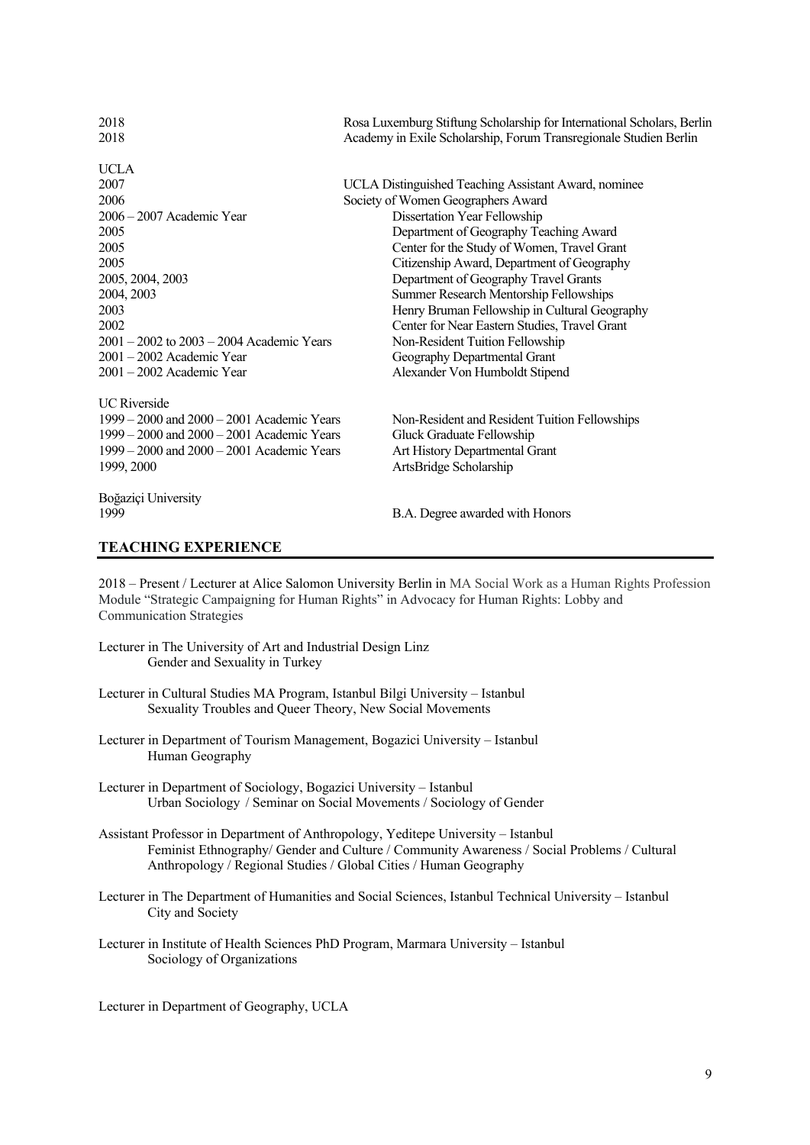| 2018                                           | Rosa Luxemburg Stiftung Scholarship for International Scholars, Berlin |
|------------------------------------------------|------------------------------------------------------------------------|
| 2018                                           | Academy in Exile Scholarship, Forum Transregionale Studien Berlin      |
| UCLA                                           |                                                                        |
| 2007                                           | UCLA Distinguished Teaching Assistant Award, nominee                   |
| 2006                                           | Society of Women Geographers Award                                     |
| 2006 - 2007 Academic Year                      | Dissertation Year Fellowship                                           |
| 2005                                           | Department of Geography Teaching Award                                 |
| 2005                                           | Center for the Study of Women, Travel Grant                            |
| 2005                                           | Citizenship Award, Department of Geography                             |
| 2005, 2004, 2003                               | Department of Geography Travel Grants                                  |
| 2004, 2003                                     | Summer Research Mentorship Fellowships                                 |
| 2003                                           | Henry Bruman Fellowship in Cultural Geography                          |
| 2002                                           | Center for Near Eastern Studies, Travel Grant                          |
| $2001 - 2002$ to $2003 - 2004$ Academic Years  | Non-Resident Tuition Fellowship                                        |
| $2001 - 2002$ Academic Year                    | Geography Departmental Grant                                           |
| $2001 - 2002$ Academic Year                    | Alexander Von Humboldt Stipend                                         |
| <b>UC</b> Riverside                            |                                                                        |
| $1999 - 2000$ and $2000 - 2001$ Academic Years | Non-Resident and Resident Tuition Fellowships                          |
| $1999 - 2000$ and $2000 - 2001$ Academic Years | Gluck Graduate Fellowship                                              |
| $1999 - 2000$ and $2000 - 2001$ Academic Years | Art History Departmental Grant                                         |
| 1999, 2000                                     | ArtsBridge Scholarship                                                 |
| Boğaziçi University                            |                                                                        |
| 1999                                           | B.A. Degree awarded with Honors                                        |

#### **TEACHING EXPERIENCE**

2018 – Present / Lecturer at Alice Salomon University Berlin in MA Social Work as a Human Rights Profession Module "Strategic Campaigning for Human Rights" in Advocacy for Human Rights: Lobby and Communication Strategies

- Lecturer in The University of Art and Industrial Design Linz Gender and Sexuality in Turkey
- Lecturer in Cultural Studies MA Program, Istanbul Bilgi University Istanbul Sexuality Troubles and Queer Theory, New Social Movements
- Lecturer in Department of Tourism Management, Bogazici University Istanbul Human Geography
- Lecturer in Department of Sociology, Bogazici University Istanbul Urban Sociology / Seminar on Social Movements / Sociology of Gender
- Assistant Professor in Department of Anthropology, Yeditepe University Istanbul Feminist Ethnography/ Gender and Culture / Community Awareness / Social Problems / Cultural Anthropology / Regional Studies / Global Cities / Human Geography
- Lecturer in The Department of Humanities and Social Sciences, Istanbul Technical University Istanbul City and Society
- Lecturer in Institute of Health Sciences PhD Program, Marmara University Istanbul Sociology of Organizations

Lecturer in Department of Geography, UCLA